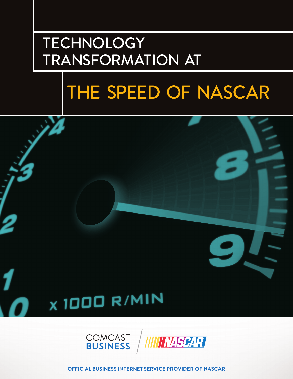## **TECHNOLOGY** TRANSFORMATION AT

# THE SPEED OF NASCAR







**OFFICIAL BUSINESS INTERNET SERVICE PROVIDER OF NASCAR**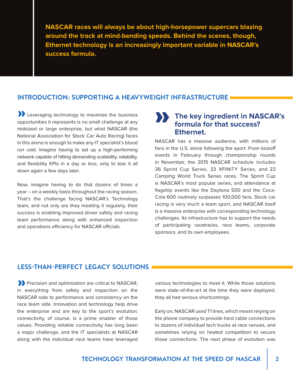**NASCAR races will always be about high-horsepower supercars blazing around the track at mind-bending speeds. Behind the scenes, though, Ethernet technology is an increasingly important variable in NASCAR's success formula.**

#### **INTRODUCTION: SUPPORTING A HEAVYWEIGHT INFRASTRUCTURE**

**1** Leveraging technology to maximize the business opportunities it represents is no small challenge at any midsized or large enterprise, but what NASCAR (the National Association for Stock Car Auto Racing) faces in this arena is enough to make any IT specialist's blood run cold. Imagine having to set up a high-performing network capable of hitting demanding scalability, reliability, and flexibility KPIs in a day or less, only to tear it all down again a few days later.

Now, imagine having to do that dozens of times a year – on a weekly basis throughout the racing season. That's the challenge facing NASCAR's Technology team, and not only are they meeting it regularly, their success is enabling improved driver safety and racing team performance along with enhanced inspection and operations efficiency for NASCAR officials.

#### » **The key ingredient in NASCAR's formula for that success? Ethernet.**

NASCAR has a massive audience, with millions of fans in the U.S. alone following the sport. From kickoff events in February through championship rounds in November, the 2015 NASCAR schedule includes 36 Sprint Cup Series, 33 XFINITY Series, and 23 Camping World Truck Series races. The Sprint Cup is NASCAR's most popular series, and attendance at flagship events like the Daytona 500 and the Coca-Cola 600 routinely surpasses 100,000 fans. Stock car racing is very much a team sport, and NASCAR itself is a massive enterprise with corresponding technology challenges. Its infrastructure has to support the needs of participating racetracks, race teams, corporate sponsors, and its own employees.

#### **LESS-THAN-PERFECT LEGACY SOLUTIONS**

Precision and optimization are critical to NASCAR, in everything from safety and inspection on the NASCAR side to performance and consistency on the race team side. Innovation and technology help drive the enterprise and are key to the sport's evolution; connectivity, of course, is a prime enabler of those values. Providing reliable connectivity has long been a major challenge, and the IT specialists at NASCAR along with the individual race teams have leveraged »

various technologies to meet it. While those solutions were state-of-the-art at the time they were deployed, they all had serious shortcomings.

Early on, NASCAR used T1 lines, which meant relying on the phone company to provide hard cable connections to dozens of individual tech trucks at race venues, and sometimes relying on heated competition to secure those connections. The next phase of evolution was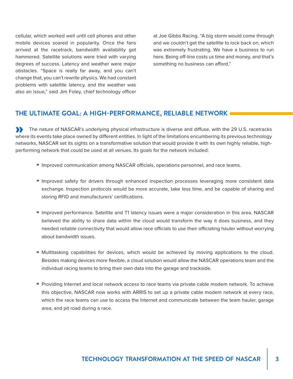cellular, which worked well until cell phones and other mobile devices soared in popularity. Once the fans arrived at the racetrack, bandwidth availability got hammered. Satellite solutions were tried with varying degrees of success. Latency and weather were major obstacles. "Space is really far away, and you can't change that, you can't rewrite physics. We had constant problems with satellite latency, and the weather was also an issue," said Jim Foley, chief technology officer

at Joe Gibbs Racing. "A big storm would come through and we couldn't get the satellite to lock back on, which was extremely frustrating. We have a business to run here. Being off-line costs us time and money, and that's something no business can afford."

#### **THE ULTIMATE GOAL: A HIGH-PERFORMANCE, RELIABLE NETWORK**

The nature of NASCAR's underlying physical infrastructure is diverse and diffuse, with the 29 U.S. racetracks where its events take place owned by different entities. In light of the limitations encumbering its previous technology networks, NASCAR set its sights on a transformative solution that would provide it with its own highly reliable, highperforming network that could be used at all venues. Its goals for the network included:  $\sum_{w \in S}$ 

- » Improved communication among NASCAR officials, operations personnel, and race teams.
- » Improved safety for drivers through enhanced inspection processes leveraging more consistent data exchange. Inspection protocols would be more accurate, take less time, and be capable of sharing and storing RFID and manufacturers' certifications.
- » Improved performance. Satellite and T1 latency issues were a major consideration in this area. NASCAR believed the ability to share data within the cloud would transform the way it does business, and they needed reliable connectivity that would allow race officials to use their officiating hauler without worrying about bandwidth issues.
- » Multitasking capabilities for devices, which would be achieved by moving applications to the cloud. Besides making devices more flexible, a cloud solution would allow the NASCAR operations team and the individual racing teams to bring their own data into the garage and trackside.
- » Providing Internet and local network access to race teams via private cable modem network. To achieve this objective, NASCAR now works with ARRIS to set up a private cable modem network at every race, which the race teams can use to access the Internet and communicate between the team hauler, garage area, and pit road during a race.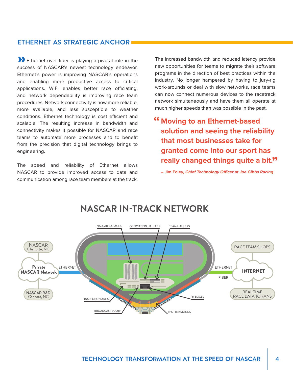#### **ETHERNET AS STRATEGIC ANCHOR**

**1** Ethernet over fiber is playing a pivotal role in the success of NASCAR's newest technology endeavor. Ethernet's power is improving NASCAR's operations and enabling more productive access to critical applications. WiFi enables better race officiating, and network dependability is improving race team procedures. Network connectivity is now more reliable, more available, and less susceptible to weather conditions. Ethernet technology is cost efficient and scalable. The resulting increase in bandwidth and connectivity makes it possible for NASCAR and race teams to automate more processes and to benefit from the precision that digital technology brings to engineering.

The speed and reliability of Ethernet allows NASCAR to provide improved access to data and communication among race team members at the track.

The increased bandwidth and reduced latency provide new opportunities for teams to migrate their software programs in the direction of best practices within the industry. No longer hampered by having to jury-rig work-arounds or deal with slow networks, race teams can now connect numerous devices to the racetrack network simultaneously and have them all operate at much higher speeds than was possible in the past.

**Moving to an Ethernet-based " solution and seeing the reliability that most businesses take for granted come into our sport has really changed things quite a bit. "**

**– Jim Foley, Chief Technology Officer at Joe Gibbs Racing**



### **NASCAR IN-TRACK NETWORK**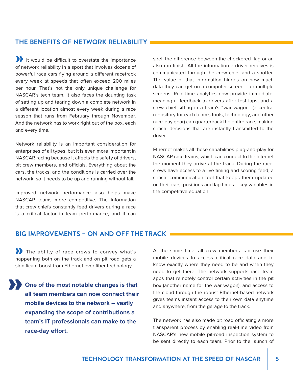#### **THE BENEFITS OF NETWORK RELIABILITY**

It would be difficult to overstate the importance of network reliability in a sport that involves dozens of powerful race cars flying around a different racetrack every week at speeds that often exceed 200 miles per hour. That's not the only unique challenge for NASCAR's tech team. It also faces the daunting task of setting up and tearing down a complete network in a different location almost every week during a race season that runs from February through November. And the network has to work right out of the box, each and every time.

Network reliability is an important consideration for enterprises of all types, but it is even more important in NASCAR racing because it affects the safety of drivers, pit crew members, and officials. Everything about the cars, the tracks, and the conditions is carried over the network, so it needs to be up and running without fail.

Improved network performance also helps make NASCAR teams more competitive. The information that crew chiefs constantly feed drivers during a race is a critical factor in team performance, and it can

spell the difference between the checkered flag or an also-ran finish. All the information a driver receives is communicated through the crew chief and a spotter. The value of that information hinges on how much data they can get on a computer screen – or multiple screens. Real-time analytics now provide immediate, meaningful feedback to drivers after test laps, and a crew chief sitting in a team's "war wagon" (a central repository for each team's tools, technology, and other race-day gear) can quarterback the entire race, making critical decisions that are instantly transmitted to the driver.

Ethernet makes all those capabilities plug-and-play for NASCAR race teams, which can connect to the Internet the moment they arrive at the track. During the race, crews have access to a live timing and scoring feed, a critical communication tool that keeps them updated on their cars' positions and lap times – key variables in the competitive equation.

#### **BIG IMPROVEMENTS – ON AND OFF THE TRACK**

If the ability of race crews to convey what's happening both on the track and on pit road gets a significant boost from Ethernet over fiber technology.

**One of the most notable changes is that all team members can now connect their mobile devices to the network – vastly expanding the scope of contributions a team's IT professionals can make to the race-day effort.** »

At the same time, all crew members can use their mobile devices to access critical race data and to know exactly where they need to be and when they need to get there. The network supports race team apps that remotely control certain activities in the pit box (another name for the war wagon), and access to the cloud through the robust Ethernet-based network gives teams instant access to their own data anytime and anywhere, from the garage to the track.

The network has also made pit road officiating a more transparent process by enabling real-time video from NASCAR's new mobile pit-road inspection system to be sent directly to each team. Prior to the launch of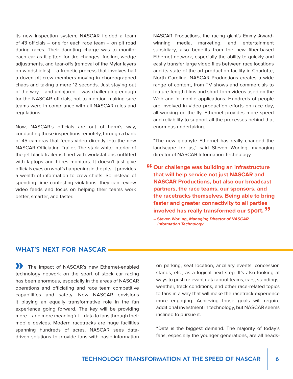its new inspection system, NASCAR fielded a team of 43 officials – one for each race team – on pit road during races. Their daunting charge was to monitor each car as it pitted for tire changes, fueling, wedge adjustments, and tear-offs (removal of the Mylar layers on windshields) – a frenetic process that involves half a dozen pit crew members moving in choreographed chaos and taking a mere 12 seconds. Just staying out of the way – and uninjured – was challenging enough for the NASCAR officials, not to mention making sure teams were in compliance with all NASCAR rules and regulations.

Now, NASCAR's officials are out of harm's way, conducting those inspections remotely, through a bank of 45 cameras that feeds video directly into the new NASCAR Officiating Trailer. The stark white interior of the jet-black trailer is lined with workstations outfitted with laptops and hi-res monitors. It doesn't just give officials eyes on what's happening in the pits; it provides a wealth of information to crew chiefs. So instead of spending time contesting violations, they can review video feeds and focus on helping their teams work better, smarter, and faster.

NASCAR Productions, the racing giant's Emmy Awardwinning media, marketing, and entertainment subsidiary, also benefits from the new fiber-based Ethernet network, especially the ability to quickly and easily transfer large video files between race locations and its state-of-the-art production facility in Charlotte, North Carolina. NASCAR Productions creates a wide range of content, from TV shows and commercials to feature-length films and short-form videos used on the Web and in mobile applications. Hundreds of people are involved in video production efforts on race day, all working on the fly. Ethernet provides more speed and reliability to support all the processes behind that enormous undertaking.

"The new gigabyte Ethernet has really changed the landscape for us," said Steven Worling, managing director of NASCAR Information Technology.

- **involved has really transformed our sport. ?? " Our challenge was building an infrastructure that will help service not just NASCAR and NASCAR Productions, but also our broadcast partners, the race teams, our sponsors, and the racetracks themselves. Being able to bring faster and greater connectivity to all parties** 
	- **Steven Worling, Managing Director of NASCAR Information Technology**

#### **WHAT'S NEXT FOR NASCAR**

The impact of NASCAR's new Ethernet-enabled technology network on the sport of stock car racing has been enormous, especially in the areas of NASCAR operations and officiating and race team competitive capabilities and safety. Now NASCAR envisions it playing an equally transformative role in the fan experience going forward. The key will be providing more – and more meaningful – data to fans through their mobile devices. Modern racetracks are huge facilities spanning hundreds of acres. NASCAR sees datadriven solutions to provide fans with basic information

on parking, seat location, ancillary events, concession stands, etc., as a logical next step. It's also looking at ways to push relevant data about teams, cars, standings, weather, track conditions, and other race-related topics to fans in a way that will make the racetrack experience more engaging. Achieving those goals will require additional investment in technology, but NASCAR seems inclined to pursue it.

"Data is the biggest demand. The majority of today's fans, especially the younger generations, are all heads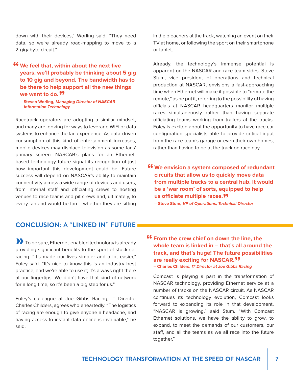down with their devices," Worling said. "They need data, so we're already road-mapping to move to a 2-gigabyte circuit."

#### **We feel that, within about the next five vears, we'll probably be thinking about years, we'll probably be thinking about 5 gig to 10 gig and beyond. The bandwidth has to be there to help support all the new things we want to do.<sup>99</sup><br>- Steven Worling, Mana**

**– Steven Worling, Managing Director of NASCAR Information Technology**

Racetrack operators are adopting a similar mindset, and many are looking for ways to leverage WiFi or data systems to enhance the fan experience. As data-driven consumption of this kind of entertainment increases, mobile devices may displace television as some fans' primary screen. NASCAR's plans for an Ethernetbased technology future signal its recognition of just how important this development could be. Future success will depend on NASCAR's ability to maintain connectivity across a wide range of devices and users, from internal staff and officiating crews to hosting venues to race teams and pit crews and, ultimately, to every fan and would-be fan – whether they are sitting

#### **CONCLUSION: A "LINKED IN" FUTURE**

**D** To be sure, Ethernet-enabled technology is already providing significant benefits to the sport of stock car racing. "It's made our lives simpler and a lot easier," Foley said. "It's nice to know this is an industry best practice, and we're able to use it; it's always right there at our fingertips. We didn't have that kind of network for a long time, so it's been a big step for us."

Foley's colleague at Joe Gibbs Racing, IT Director Charles Childers, agrees wholeheartedly. "The logistics of racing are enough to give anyone a headache, and having access to instant data online is invaluable," he said.

in the bleachers at the track, watching an event on their TV at home, or following the sport on their smartphone or tablet.

Already, the technology's immense potential is apparent on the NASCAR and race team sides. Steve Stum, vice president of operations and technical production at NASCAR, envisions a fast-approaching time when Ethernet will make it possible to "remote the remote," as he put it, referring to the possibility of having officials at NASCAR headquarters monitor multiple races simultaneously rather than having separate officiating teams working from trailers at the tracks. Foley is excited about the opportunity to have race car configuration specialists able to provide critical input from the race team's garage or even their own homes, rather than having to be at the track on race day.

**46** We envision a system composed of redundant circuits that allow us to quickly move data **circuits that allow us to quickly move data from multiple tracks to a central hub. It would be a 'war room' of sorts, equipped to help us officiate multiple races. "**

- **Steve Stum, VP of Operations, Technical Director**
- **f6** From the crew chief on down the line, the whole team is linked in that's all around **whole team is linked in – that's all around the track, and that's huge! The future possibilities are really exciting for NASCAR. "**

**– Charles Childers, IT Director at Joe Gibbs Racing**

Comcast is playing a part in the transformation of NASCAR technology, providing Ethernet service at a number of tracks on the NASCAR circuit. As NASCAR continues its technology evolution, Comcast looks forward to expanding its role in that development. "NASCAR is growing," said Stum. "With Comcast Ethernet solutions, we have the ability to grow, to expand, to meet the demands of our customers, our staff, and all the teams as we all race into the future together."